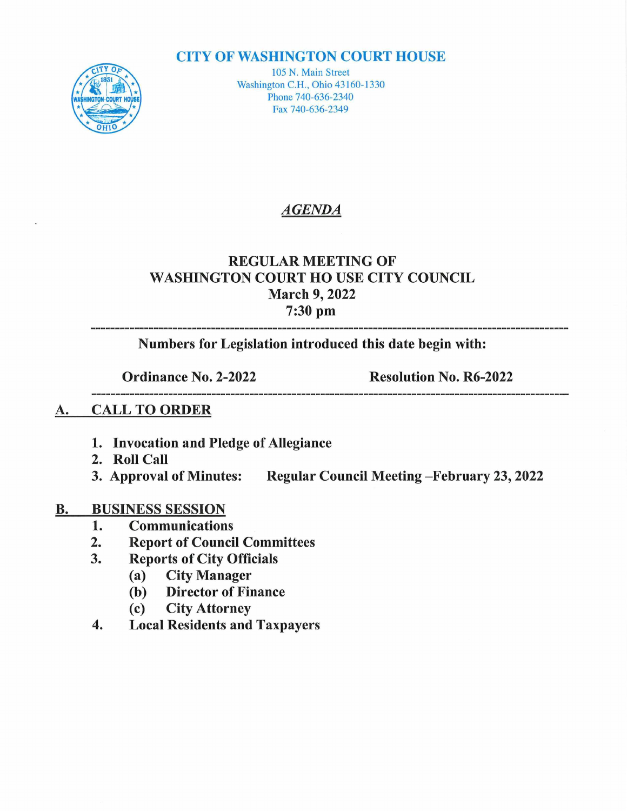#### **CITY OF WASHINGTON COURT HOUSE**



105 N. Main Street Washington C.H., Ohio 43160-1330 Phone 740-636-2340 Fax 740-636-2349

# AGENDA

### REGULAR MEETING OF WASHINGTON COURT HOUSE CITY COUNCIL March 9, 2022 7:30 pm

Numbers for Legislation introduced this date begin with:

Ordinance No. 2-2022 Resolution No. R6-2022 

### A. CALL TO ORDER

- 1. Invocation and Pledge of Allegiance
- 
- 2. Roll Call<br>3. Approval of Minutes: Regular Council Meeting-February 23, 2022

# **B.** BUSINESS SESSION<br>1. Communication

- 1. Communications<br>2. Report of Counci
- 2. Report of Council Committees<br>3. Reports of City Officials
- Reports of City Officials<br>(a) City Manager
	- (a) City Manager
	- (b) Director of Finance<br>(c) City Attorney
	- **City Attorney**
- 4. Local Residents and Taxpayers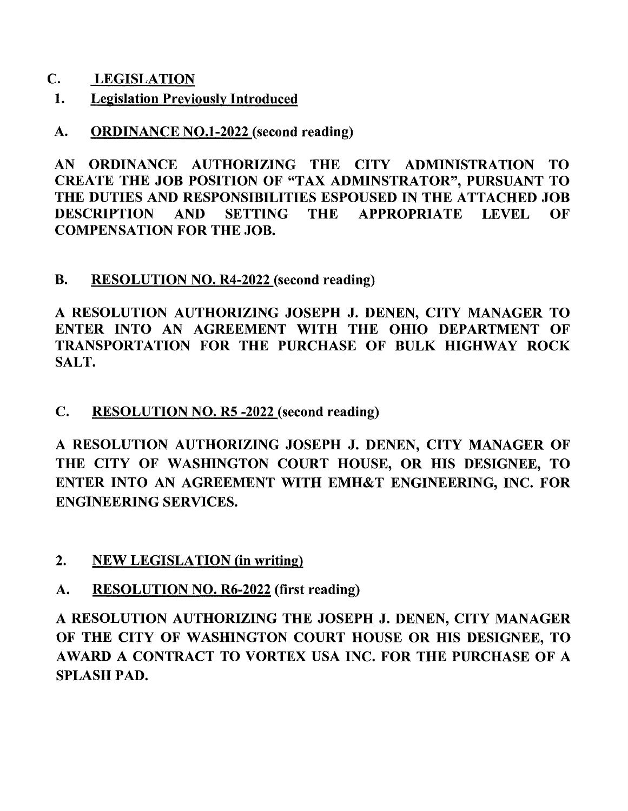- C. **LEGISLATION**<br>1. Legislation Previ
- **Legislation Previously Introduced**
- A. ORDINANCE NO.1-2022 (second reading)

AN ORDINANCE AUTHORIZING THE CITY ADMINISTRATION TO AN ORDINANCE AUTHORIZING THE CITY ADMINISTRATION TO<br>CREATE THE JOB POSITION OF "TAX ADMINSTRATOR", PURSUANT TO<br>THE DUTIES AND DESPONSIBLE TO ESPONSED IN THE ATTACHED LOD CREATE THE JOB POSITION OF "TAX ADMINSTRATOR", PURSUANT TO<br>THE DUTIES AND RESPONSIBILITIES ESPOUSED IN THE ATTACHED JOB<br>DESCRIPTION THE DUTIES AND RESPONSIBILITIES ESPOUSED IN THE ATTACHED JOB<br>DESCRIPTION AND SETTING THE APPROPRIATE LEVEL OF COMPENSATION FOR THE JOB.

B. RESOLUTION NO. R4-2022 (second reading)

RESOLUTION AUTHORIZING JOSEPH J. DENEN, CITY MANAGER TO A RESOLUTION AUTHORIZING JOSEPH J. DENEN, CITY MANAGER TO<br>ENTER INTO AN AGREEMENT WITH THE OHIO DEPARTMENT OF ENTER INTO AN AGREEMENT WITH THE OHIO DEPARTMENT OF<br>TRANSPORTATION FOR THE PURCHASE OF BULK HIGHWAY ROCK SALT.

C. RESOLUTION NO. R5 -2022 (second reading)

RESOLUTION AUTHORIZING JOSEPH J. DENEN, CITY MANAGER OF THE CITY OF WASHINGTON COURT HOUSE, OR HIS DESIGNEE, TO ENTER INTO AN AGREEMENT WITH EMH&T ENGINEERING, INC. FOR ENGINEERING SERVICES.

- 2. NEW LEGISLATION (in writing)
- A. RESOLUTION NO. R6-2022 (first reading)

**RESOLUTION NO. R0-2022** (IIISt reading)<br>RESOLUTION AUTHORIZING THE JOSEPH J. DENEN, CITY MANAGER A RESOLUTION AUTHORIZING THE JOSEPH J. DENEN, CITY MANAGER<br>OF THE CITY OF WASHINGTON COURT HOUSE OR HIS DESIGNEE, TO OF THE CITY OF WASHINGTON COURT HOUSE OR HIS DESIGNEE, TO AWARD A CONTRACT TO VORTEX USA INC. FOR THE PURCHASE OF A SPLASH PAD.